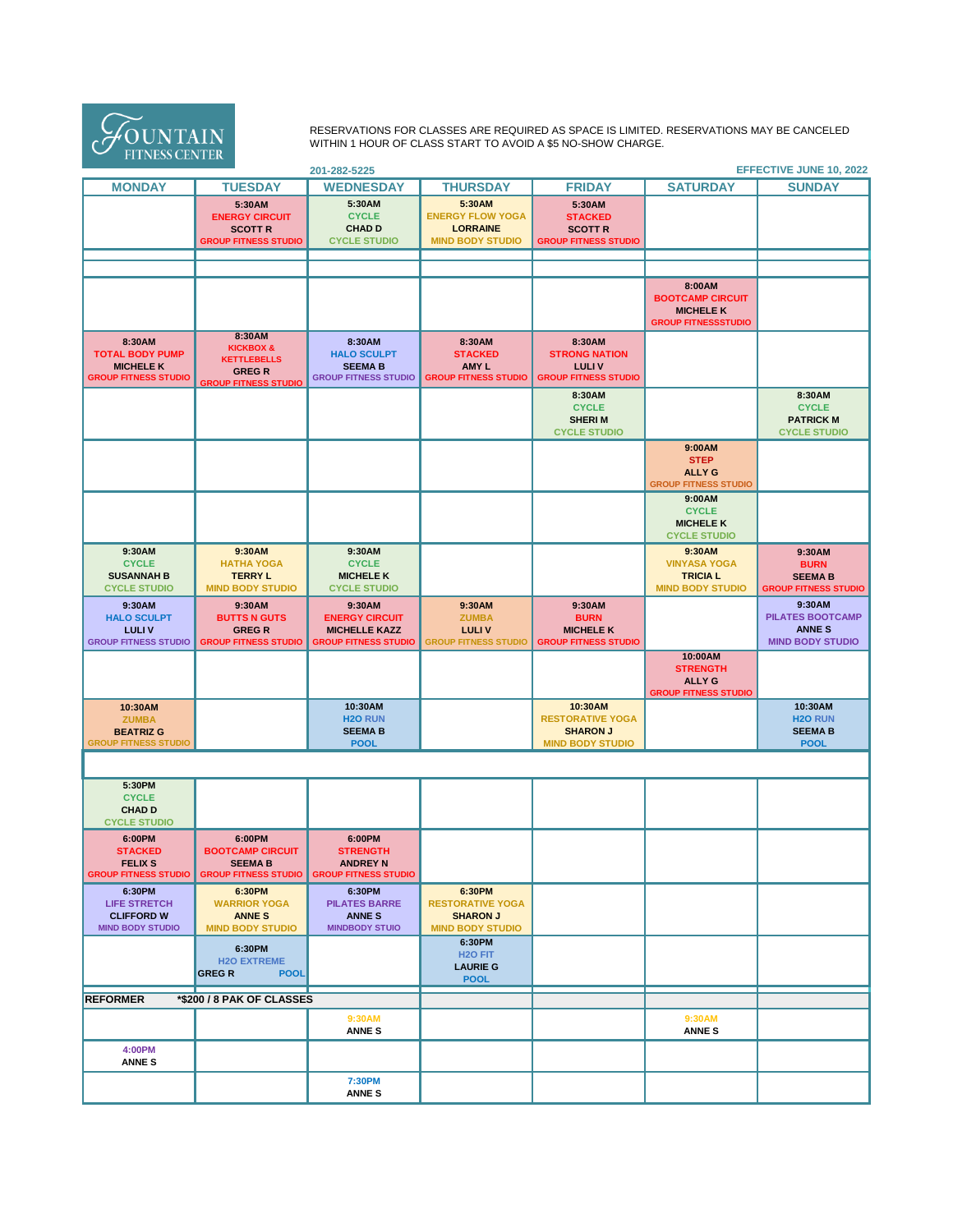

RESERVATIONS FOR CLASSES ARE REQUIRED AS SPACE IS LIMITED. RESERVATIONS MAY BE CANCELED WITHIN 1 HOUR OF CLASS START TO AVOID A \$5 NO-SHOW CHARGE.

| TTTTTDOO ODI LETT<br>201-282-5225             |                                                                   |                                                     |                                             |                                                 |                                       | <b>EFFECTIVE JUNE 10, 2022</b>        |
|-----------------------------------------------|-------------------------------------------------------------------|-----------------------------------------------------|---------------------------------------------|-------------------------------------------------|---------------------------------------|---------------------------------------|
| <b>MONDAY</b>                                 | <b>TUESDAY</b>                                                    | <b>WEDNESDAY</b>                                    | <b>THURSDAY</b>                             | <b>FRIDAY</b>                                   | <b>SATURDAY</b>                       | <b>SUNDAY</b>                         |
|                                               | 5:30AM                                                            | 5:30AM                                              | 5:30AM                                      | 5:30AM                                          |                                       |                                       |
|                                               | <b>ENERGY CIRCUIT</b><br><b>SCOTT R</b>                           | <b>CYCLE</b><br><b>CHAD D</b>                       | <b>ENERGY FLOW YOGA</b><br><b>LORRAINE</b>  | <b>STACKED</b><br><b>SCOTT R</b>                |                                       |                                       |
|                                               | <b>GROUP FITNESS STUDIO</b>                                       | <b>CYCLE STUDIO</b>                                 | <b>MIND BODY STUDIO</b>                     | <b>GROUP FITNESS STUDIO</b>                     |                                       |                                       |
|                                               |                                                                   |                                                     |                                             |                                                 |                                       |                                       |
|                                               |                                                                   |                                                     |                                             |                                                 |                                       |                                       |
|                                               |                                                                   |                                                     |                                             |                                                 | 8:00AM<br><b>BOOTCAMP CIRCUIT</b>     |                                       |
|                                               |                                                                   |                                                     |                                             |                                                 | <b>MICHELE K</b>                      |                                       |
|                                               | 8:30AM                                                            |                                                     |                                             |                                                 | <b>GROUP FITNESSSTUDIO</b>            |                                       |
| 8:30AM<br><b>TOTAL BODY PUMP</b>              | <b>KICKBOX &amp;</b>                                              | 8:30AM<br><b>HALO SCULPT</b>                        | 8:30AM<br><b>STACKED</b>                    | 8:30AM<br><b>STRONG NATION</b>                  |                                       |                                       |
| <b>MICHELE K</b>                              | <b>KETTLEBELLS</b><br><b>GREGR</b>                                | <b>SEEMA B</b>                                      | AMY L                                       | <b>LULIV</b>                                    |                                       |                                       |
| <b>GROUP FITNESS STUDIO</b>                   | <b>GROUP FITNESS STUDIO</b>                                       | <b>GROUP FITNESS STUDIO</b>                         | <b>GROUP FITNESS STUDIO</b>                 | <b>GROUP FITNESS STUDIO</b>                     |                                       |                                       |
|                                               |                                                                   |                                                     |                                             | 8:30AM<br><b>CYCLE</b>                          |                                       | 8:30AM<br><b>CYCLE</b>                |
|                                               |                                                                   |                                                     |                                             | <b>SHERIM</b>                                   |                                       | <b>PATRICK M</b>                      |
|                                               |                                                                   |                                                     |                                             | <b>CYCLE STUDIO</b>                             |                                       | <b>CYCLE STUDIO</b>                   |
|                                               |                                                                   |                                                     |                                             |                                                 | 9:00AM<br><b>STEP</b>                 |                                       |
|                                               |                                                                   |                                                     |                                             |                                                 | <b>ALLY G</b>                         |                                       |
|                                               |                                                                   |                                                     |                                             |                                                 | <b>GROUP FITNESS STUDIO</b>           |                                       |
|                                               |                                                                   |                                                     |                                             |                                                 | 9:00AM<br><b>CYCLE</b>                |                                       |
|                                               |                                                                   |                                                     |                                             |                                                 | <b>MICHELE K</b>                      |                                       |
| 9:30AM                                        | 9:30AM                                                            | 9:30AM                                              |                                             |                                                 | <b>CYCLE STUDIO</b><br>9:30AM         | 9:30AM                                |
| <b>CYCLE</b>                                  | <b>HATHA YOGA</b>                                                 | <b>CYCLE</b>                                        |                                             |                                                 | <b>VINYASA YOGA</b>                   | <b>BURN</b>                           |
| <b>SUSANNAH B</b>                             | <b>TERRYL</b>                                                     | <b>MICHELE K</b>                                    |                                             |                                                 | <b>TRICIAL</b>                        | <b>SEEMA B</b>                        |
| <b>CYCLE STUDIO</b>                           | <b>MIND BODY STUDIO</b>                                           | <b>CYCLE STUDIO</b>                                 |                                             | 9:30AM                                          | <b>MIND BODY STUDIO</b>               | <b>GROUP FITNESS STUDIO</b><br>9:30AM |
| 9:30AM<br><b>HALO SCULPT</b>                  | 9:30AM<br><b>BUTTS N GUTS</b>                                     | 9:30AM<br><b>ENERGY CIRCUIT</b>                     | 9:30AM<br><b>ZUMBA</b>                      | <b>BURN</b>                                     |                                       | <b>PILATES BOOTCAMP</b>               |
| <b>LULIV</b><br><b>GROUP FITNESS STUDIO</b>   | <b>GREGR</b><br><b>GROUP FITNESS STUDIO</b>                       | <b>MICHELLE KAZZ</b><br><b>GROUP FITNESS STUDIO</b> | <b>LULIV</b><br><b>GROUP FITNESS STUDIO</b> | <b>MICHELE K</b><br><b>GROUP FITNESS STUDIO</b> |                                       | <b>ANNES</b>                          |
|                                               |                                                                   |                                                     |                                             |                                                 | 10:00AM                               | <b>MIND BODY STUDIO</b>               |
|                                               |                                                                   |                                                     |                                             |                                                 | <b>STRENGTH</b>                       |                                       |
|                                               |                                                                   |                                                     |                                             |                                                 | ALLY G<br><b>GROUP FITNESS STUDIO</b> |                                       |
| 10:30AM                                       |                                                                   | 10:30AM                                             |                                             | 10:30AM                                         |                                       | 10:30AM                               |
| <b>ZUMBA</b><br><b>BEATRIZ G</b>              |                                                                   | <b>H2O RUN</b><br><b>SEEMA B</b>                    |                                             | <b>RESTORATIVE YOGA</b><br><b>SHARON J</b>      |                                       | <b>H2O RUN</b><br><b>SEEMA B</b>      |
| <b>GROUP FITNESS STUDIO</b>                   |                                                                   | <b>POOL</b>                                         |                                             | <b>MIND BODY STUDIO</b>                         |                                       | <b>POOL</b>                           |
|                                               |                                                                   |                                                     |                                             |                                                 |                                       |                                       |
| 5:30PM                                        |                                                                   |                                                     |                                             |                                                 |                                       |                                       |
| <b>CYCLE</b>                                  |                                                                   |                                                     |                                             |                                                 |                                       |                                       |
| <b>CHAD D</b><br><b>CYCLE STUDIO</b>          |                                                                   |                                                     |                                             |                                                 |                                       |                                       |
| 6:00PM                                        | 6:00PM                                                            | 6:00PM                                              |                                             |                                                 |                                       |                                       |
| <b>STACKED</b>                                | <b>BOOTCAMP CIRCUIT</b>                                           | <b>STRENGTH</b>                                     |                                             |                                                 |                                       |                                       |
| <b>FELIX S</b><br><b>GROUP FITNESS STUDIO</b> | <b>SEEMAB</b><br><b>GROUP FITNESS STUDIO GROUP FITNESS STUDIO</b> | <b>ANDREY N</b>                                     |                                             |                                                 |                                       |                                       |
| 6:30PM                                        | 6:30PM                                                            | 6:30PM                                              | 6:30PM                                      |                                                 |                                       |                                       |
| <b>LIFE STRETCH</b>                           | <b>WARRIOR YOGA</b>                                               | <b>PILATES BARRE</b>                                | <b>RESTORATIVE YOGA</b>                     |                                                 |                                       |                                       |
| <b>CLIFFORD W</b><br><b>MIND BODY STUDIO</b>  | <b>ANNES</b><br><b>MIND BODY STUDIO</b>                           | <b>ANNES</b><br><b>MINDBODY STUIO</b>               | <b>SHARON J</b><br><b>MIND BODY STUDIO</b>  |                                                 |                                       |                                       |
|                                               | 6:30PM                                                            |                                                     | 6:30PM                                      |                                                 |                                       |                                       |
|                                               | <b>H2O EXTREME</b>                                                |                                                     | H <sub>20</sub> FIT<br><b>LAURIE G</b>      |                                                 |                                       |                                       |
|                                               | <b>GREGR</b><br><b>POOL</b>                                       |                                                     | <b>POOL</b>                                 |                                                 |                                       |                                       |
| <b>REFORMER</b><br>*\$200 / 8 PAK OF CLASSES  |                                                                   |                                                     |                                             |                                                 |                                       |                                       |
|                                               |                                                                   | 9:30AM                                              |                                             |                                                 | 9:30AM                                |                                       |
|                                               |                                                                   | <b>ANNES</b>                                        |                                             |                                                 | <b>ANNES</b>                          |                                       |
| 4:00PM<br><b>ANNES</b>                        |                                                                   |                                                     |                                             |                                                 |                                       |                                       |
|                                               |                                                                   | 7:30PM                                              |                                             |                                                 |                                       |                                       |
|                                               |                                                                   | <b>ANNES</b>                                        |                                             |                                                 |                                       |                                       |